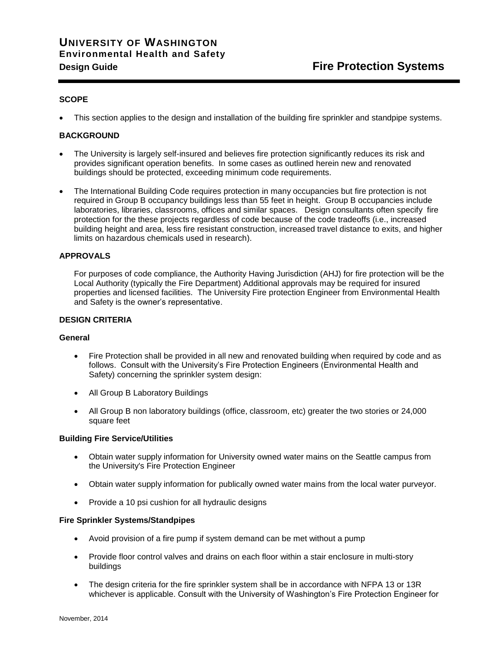# **UNIVERSITY OF WASHINGTON Environmental Health and Safety Design Guide Fire Protection Systems**

# **SCOPE**

This section applies to the design and installation of the building fire sprinkler and standpipe systems.

# **BACKGROUND**

- The University is largely self-insured and believes fire protection significantly reduces its risk and provides significant operation benefits. In some cases as outlined herein new and renovated buildings should be protected, exceeding minimum code requirements.
- The International Building Code requires protection in many occupancies but fire protection is not required in Group B occupancy buildings less than 55 feet in height. Group B occupancies include laboratories, libraries, classrooms, offices and similar spaces. Design consultants often specify fire protection for the these projects regardless of code because of the code tradeoffs (i.e., increased building height and area, less fire resistant construction, increased travel distance to exits, and higher limits on hazardous chemicals used in research).

## **APPROVALS**

For purposes of code compliance, the Authority Having Jurisdiction (AHJ) for fire protection will be the Local Authority (typically the Fire Department) Additional approvals may be required for insured properties and licensed facilities. The University Fire protection Engineer from Environmental Health and Safety is the owner's representative.

#### **DESIGN CRITERIA**

#### **General**

- Fire Protection shall be provided in all new and renovated building when required by code and as follows. Consult with the University's Fire Protection Engineers (Environmental Health and Safety) concerning the sprinkler system design:
- All Group B Laboratory Buildings
- All Group B non laboratory buildings (office, classroom, etc) greater the two stories or 24,000 square feet

#### **Building Fire Service/Utilities**

- Obtain water supply information for University owned water mains on the Seattle campus from the University's Fire Protection Engineer
- Obtain water supply information for publically owned water mains from the local water purveyor.
- Provide a 10 psi cushion for all hydraulic designs

#### **Fire Sprinkler Systems/Standpipes**

- Avoid provision of a fire pump if system demand can be met without a pump
- Provide floor control valves and drains on each floor within a stair enclosure in multi-story buildings
- The design criteria for the fire sprinkler system shall be in accordance with NFPA 13 or 13R whichever is applicable. Consult with the University of Washington's Fire Protection Engineer for